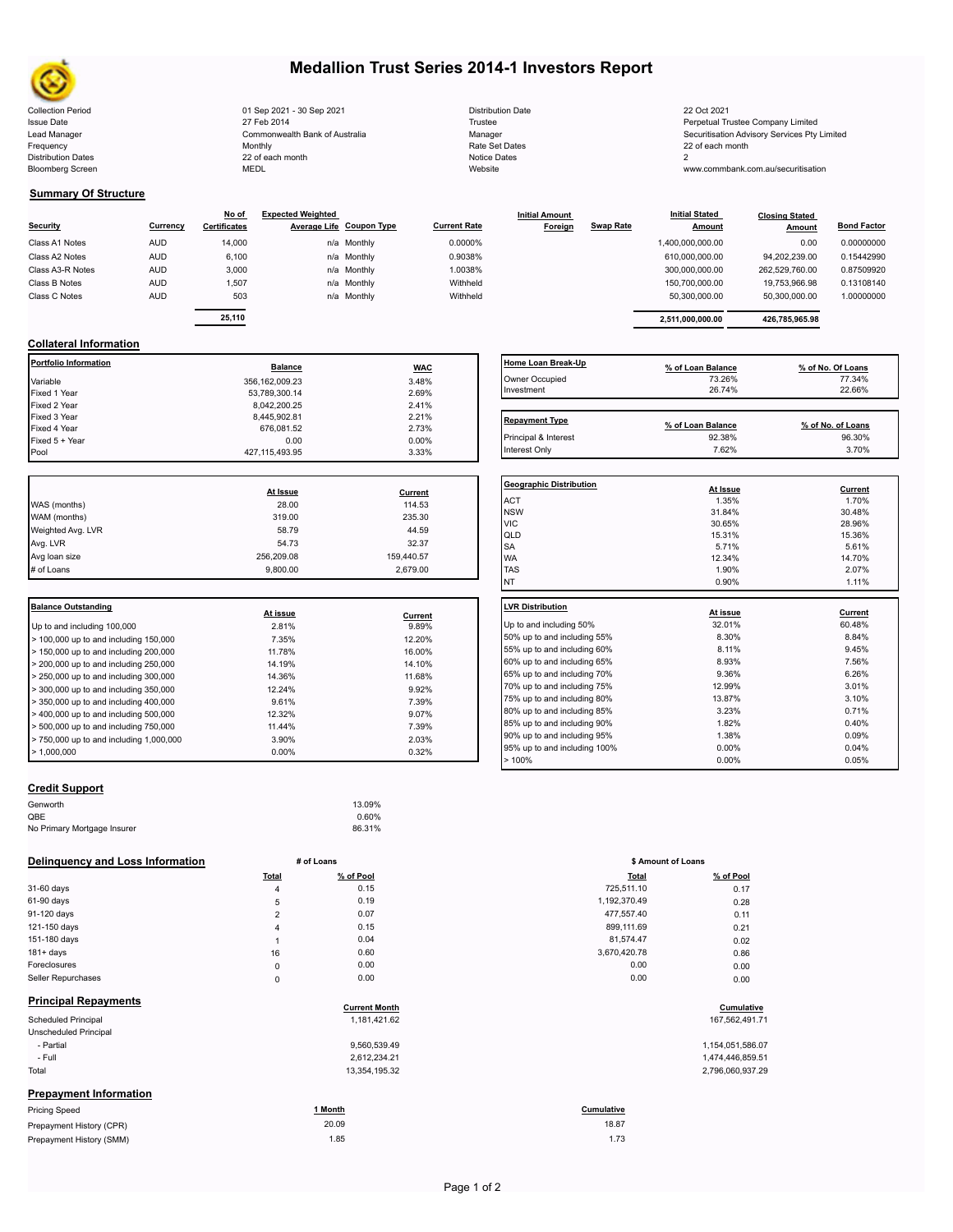

Bloomberg Screen

# **Medallion Trust Series 2014-1 Investors Report**

Collection Period 22 Oct 2021 2008 2021 01 Sep 2021 2009 2021 Distribution Date 22 Oct 2021 20 Oct 2021 Issue Date **Trustee Company Limited** 27 Feb 2014 27 Feb 2014 **Trustee Trustee Company Limited** Perpetual Trustee Company Limited Lead Manager **Manager** Securitisation Advisory Services Pty Limited Commonwealth Bank of Australia Manager Manager Securitisation Advisory Services Pty Limited Frequency 22 of each month Monthly Monthly Rate Set Dates Rate Set Dates 22 of each month Distribution Dates **Notice 2** and the control of the 22 of each month **Notice Dates** Notice Dates 2 27 Feb 2014 Commonwealth Bank of Australia Monthly 22 of each month

| Distribution Date   |
|---------------------|
| Trustee             |
| Manager             |
| Rate Set Dates      |
| <b>Notice Dates</b> |
| Website             |

www.commbank.com.au/securitisation

#### **Summary Of Structure**

| <b>Security</b>  | Currency   | No of<br><b>Certificates</b> | <b>Expected Weighted</b> | Average Life Coupon Type | <b>Current Rate</b> | <b>Initial Amount</b><br>Foreign | <b>Swap Rate</b> | <b>Initial Stated</b><br><b>Amount</b> | <b>Closing Stated</b><br><b>Amount</b> | <b>Bond Factor</b> |
|------------------|------------|------------------------------|--------------------------|--------------------------|---------------------|----------------------------------|------------------|----------------------------------------|----------------------------------------|--------------------|
| Class A1 Notes   | <b>AUD</b> | 14,000                       |                          | n/a Monthly              | 0.0000%             |                                  |                  | 1,400,000,000.00                       | 0.00                                   | 0.00000000         |
| Class A2 Notes   | <b>AUD</b> | 6,100                        |                          | n/a Monthly              | 0.9038%             |                                  |                  | 610,000,000.00                         | 94.202.239.00                          | 0.15442990         |
| Class A3-R Notes | <b>AUD</b> | 3,000                        |                          | n/a Monthly              | 1.0038%             |                                  |                  | 300.000.000.00                         | 262,529,760.00                         | 0.87509920         |
| Class B Notes    | <b>AUD</b> | 1.507                        |                          | n/a Monthly              | Withheld            |                                  |                  | 150.700.000.00                         | 19.753.966.98                          | 0.13108140         |
| Class C Notes    | <b>AUD</b> | 503                          |                          | n/a Monthly              | Withheld            |                                  |                  | 50.300.000.00                          | 50,300,000.00                          | 1.00000000         |
|                  |            |                              |                          |                          |                     |                                  |                  |                                        |                                        |                    |

|          | No of               | <b>Expected Weighted</b> |                          |                     | <b>Initial Amount</b> |                  | <b>Initial Stated</b> | <b>Closing Stated</b> |                    |  |
|----------|---------------------|--------------------------|--------------------------|---------------------|-----------------------|------------------|-----------------------|-----------------------|--------------------|--|
| Currency | <b>Certificates</b> |                          | Average Life Coupon Type | <b>Current Rate</b> | Foreign               | <b>Swap Rate</b> | <b>Amount</b>         | Amount                | <b>Bond Factor</b> |  |
| AUD      | 14.000              |                          | n/a Monthly              | 0.0000%             |                       |                  | 1.400.000.000.00      | 0.00                  | 0.00000000         |  |
| AUD      | 6.100               |                          | n/a Monthly              | 0.9038%             |                       |                  | 610.000.000.00        | 94.202.239.00         | 0.15442990         |  |
| AUD      | 3,000               |                          | n/a Monthly              | 1.0038%             |                       |                  | 300.000.000.00        | 262.529.760.00        | 0.87509920         |  |
| AUD      | 1,507               |                          | n/a Monthly              | Withheld            |                       |                  | 150.700.000.00        | 19.753.966.98         | 0.13108140         |  |
| AUD      | 503                 |                          | n/a Monthly              | Withheld            |                       |                  | 50.300.000.00         | 50.300.000.00         | 1.00000000         |  |
|          |                     |                          |                          |                     |                       |                  |                       |                       |                    |  |
|          | 25.110              |                          |                          |                     |                       |                  | 2.511.000.000.00      | 426.785.965.98        |                    |  |

### **Collateral Information**

| Portfolio Information | <b>Balance</b>    | <b>WAC</b> | Home Loan Break-Up    | % of Loan Balance | % of No. Of Loans |
|-----------------------|-------------------|------------|-----------------------|-------------------|-------------------|
| Variable              | 356, 162, 009.23  | 3.48%      | Owner Occupied        | 73.26%            | 77.34%            |
| Fixed 1 Year          | 53.789.300.14     | 2.69%      | Investment            | 26.74%            | 22.66%            |
| Fixed 2 Year          | 8,042,200.25      | 2.41%      |                       |                   |                   |
| Fixed 3 Year          | 8,445,902.81      | 2.21%      | <b>Repayment Type</b> |                   |                   |
| Fixed 4 Year          | 676,081.52        | 2.73%      |                       | % of Loan Balance | % of No. of Loans |
| Fixed 5 + Year        | 0.00              | $0.00\%$   | Principal & Interest  | 92.38%            | 96.30%            |
| Pool                  | 427, 115, 493. 95 | 3.33%      | Interest Only         | 7.62%             | 3.70%             |

|                   |            |            | Geo              |
|-------------------|------------|------------|------------------|
|                   | At Issue   | Current    |                  |
| WAS (months)      | 28.00      | 114.53     | AC <sup>-</sup>  |
| WAM (months)      | 319.00     | 235.30     | <b>NS</b><br>VIC |
| Weighted Avg. LVR | 58.79      | 44.59      | QLI              |
| Avg. LVR          | 54.73      | 32.37      | <b>SA</b>        |
| Avg loan size     | 256.209.08 | 159,440.57 | <b>WA</b>        |
| # of Loans        | 9.800.00   | 2.679.00   | <b>TAS</b>       |
|                   |            |            |                  |

| <b>Balance Outstanding</b>                                |          |         | LVR Distribution    |
|-----------------------------------------------------------|----------|---------|---------------------|
|                                                           | At issue | Current |                     |
| Up to and including 100,000                               | 2.81%    | 9.89%   | Up to and including |
| $\geq 100,000$ up to and including 150,000                | 7.35%    | 12.20%  | 50% up to and incl  |
| $\geq 150,000$ up to and including 200,000                | 11.78%   | 16.00%  | 55% up to and incl  |
| $>$ 200,000 up to and including 250,000                   | 14.19%   | 14.10%  | 60% up to and incl  |
| $\geq$ 250,000 up to and including 300,000                | 14.36%   | 11.68%  | 65% up to and incl  |
| $\geq$ 300,000 up to and including 350,000                | 12.24%   | 9.92%   | 70% up to and incl  |
| $\blacktriangleright$ 350,000 up to and including 400,000 | 9.61%    | 7.39%   | 75% up to and incl  |
| $>$ 400,000 up to and including 500,000                   | 12.32%   | 9.07%   | 80% up to and incl  |
| $\geq 500,000$ up to and including 750,000                | 11.44%   | 7.39%   | 85% up to and incl  |
| $> 750,000$ up to and including 1,000,000                 | 3.90%    | 2.03%   | 90% up to and incl  |
| $\blacktriangleright$ 1.000.000                           | $0.00\%$ | 0.32%   | 95% up to and incl  |
|                                                           |          |         |                     |

# **Repayment Type Repayment Type % of Loan Balance % of No. of Loans** Interest Only 7.62% 3.70%

| <b>Geographic Distribution</b><br>At Issue<br>Current |       |
|-------------------------------------------------------|-------|
|                                                       |       |
| <b>ACT</b><br>1.35%                                   | 1.70% |
| <b>NSW</b><br>31.84%<br>30.48%                        |       |
| <b>VIC</b><br>30.65%<br>28.96%                        |       |
| QLD<br>15.31%<br>15.36%                               |       |
| <b>SA</b><br>5.71%                                    | 5.61% |
| <b>WA</b><br>12.34%<br>14.70%                         |       |
| <b>TAS</b><br>1.90%<br>2.07%                          |       |
| <b>NT</b><br>0.90%                                    | 1.11% |
|                                                       |       |
| <b>LVR Distribution</b>                               |       |
| Current<br>At issue                                   |       |
| Up to and including 50%<br>32.01%<br>60.48%           |       |
| 8.30%<br>8.84%<br>50% up to and including 55%         |       |
| 8.11%<br>55% up to and including 60%<br>9.45%         |       |
| 60% up to and including 65%<br>8.93%<br>7.56%         |       |
| 65% up to and including 70%<br>9.36%<br>6.26%         |       |
| 12.99%<br>3.01%<br>70% up to and including 75%        |       |
| 75% up to and including 80%<br>3.10%<br>13.87%        |       |
| 80% up to and including 85%<br>3.23%<br>0.71%         |       |
| 1.82%<br>0.40%<br>85% up to and including 90%         |       |
| 1.38%<br>90% up to and including 95%<br>0.09%         |       |
| 0.00%<br>95% up to and including 100%                 | 0.04% |
|                                                       |       |

## **Credit Support**

| Genworth                    | 13.09% |  |
|-----------------------------|--------|--|
| QBE                         | 0.60%  |  |
| No Primary Mortgage Insurer | 86.31% |  |
|                             |        |  |

#### **Delinquency and Loss Information # of Loans**

|                               | Total          | % of Pool            | <b>Total</b> | % of Pool        |
|-------------------------------|----------------|----------------------|--------------|------------------|
| 31-60 days                    | $\overline{4}$ | 0.15                 | 725,511.10   | 0.17             |
| 61-90 days                    | 5              | 0.19                 | 1,192,370.49 | 0.28             |
| 91-120 days                   | $\overline{2}$ | 0.07                 | 477,557.40   | 0.11             |
| 121-150 days                  | 4              | 0.15                 | 899,111.69   | 0.21             |
| 151-180 days                  |                | 0.04                 | 81,574.47    | 0.02             |
| $181 + days$                  | 16             | 0.60                 | 3,670,420.78 | 0.86             |
| Foreclosures                  | $\mathsf 0$    | 0.00                 | 0.00         | 0.00             |
| Seller Repurchases            | $\mathsf 0$    | 0.00                 | 0.00         | 0.00             |
| <b>Principal Repayments</b>   |                | <b>Current Month</b> |              | Cumulative       |
| Scheduled Principal           |                | 1,181,421.62         |              | 167,562,491.71   |
| Unscheduled Principal         |                |                      |              |                  |
| - Partial                     |                | 9,560,539.49         |              | 1,154,051,586.07 |
| - Full                        |                | 2,612,234.21         |              | 1,474,446,859.51 |
| Total                         |                | 13,354,195.32        |              | 2,796,060,937.29 |
| <b>Prepayment Information</b> |                |                      |              |                  |
| <b>Pricing Speed</b>          |                | 1 Month              | Cumulative   |                  |
| Prepayment History (CPR)      |                | 20.09                | 18.87        |                  |
| Prepayment History (SMM)      |                | 1.85                 | 1.73         |                  |

|                | # of Loans           | \$ Amount of Loans |                  |
|----------------|----------------------|--------------------|------------------|
| Total          | % of Pool            | <b>Total</b>       | % of Pool        |
| 4              | 0.15                 | 725,511.10         | 0.17             |
| 5              | 0.19                 | 1,192,370.49       | 0.28             |
| $\overline{2}$ | 0.07                 | 477,557.40         | 0.11             |
| 4              | 0.15                 | 899,111.69         | 0.21             |
| 1              | 0.04                 | 81,574.47          | 0.02             |
| 16             | 0.60                 | 3,670,420.78       | 0.86             |
| 0              | 0.00                 | 0.00               | 0.00             |
| $\mathsf 0$    | 0.00                 | 0.00               | 0.00             |
|                | <b>Current Month</b> |                    | Cumulative       |
|                | 1,181,421.62         |                    | 167,562,491.71   |
|                | 9,560,539.49         |                    | 1,154,051,586.07 |
|                |                      |                    |                  |

| 1,474,446,859.51 |  |
|------------------|--|
| 2,796,060,937.29 |  |